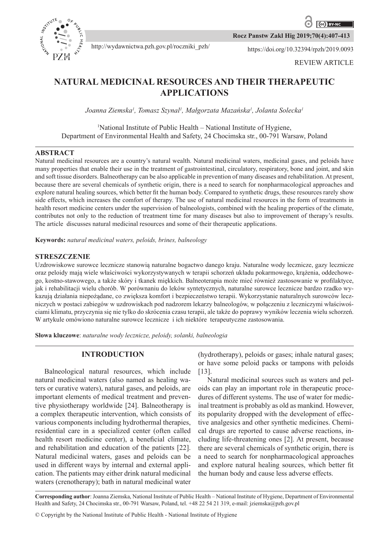

**Rocz Panstw Zakl Hig 2019;70(4):407-413**

http://wydawnictwa.pzh.gov.pl/roczniki\_pzh/ https://doi.org/10.32394/rpzh/2019.0093

# **NATURAL MEDICINAL RESOURCES AND THEIR THERAPEUTIC APPLICATIONS**

*Joanna Ziemska<sup>1</sup> , Tomasz Szynal<sup>1</sup> , Małgorzata Mazańska<sup>1</sup> , Jolanta Solecka<sup>1</sup>*

# <sup>1</sup>National Institute of Public Health – National Institute of Hygiene, Department of Environmental Health and Safety, 24 Chocimska str., 00-791 Warsaw, Poland

## **ABSTRACT**

Natural medicinal resources are a country's natural wealth. Natural medicinal waters, medicinal gases, and peloids have many properties that enable their use in the treatment of gastrointestinal, circulatory, respiratory, bone and joint, and skin and soft tissue disorders. Balneotherapy can be also applicable in prevention of many diseases and rehabilitation. At present, because there are several chemicals of synthetic origin, there is a need to search for nonpharmacological approaches and explore natural healing sources, which better fit the human body. Compared to synthetic drugs, these resources rarely show side effects, which increases the comfort of therapy. The use of natural medicinal resources in the form of treatments in health resort medicine centers under the supervision of balneologists, combined with the healing properties of the climate, contributes not only to the reduction of treatment time for many diseases but also to improvement of therapy's results. The article discusses natural medicinal resources and some of their therapeutic applications.

**Keywords:** *natural medicinal waters, peloids, brines, balneology*

## **STRESZCZENIE**

Uzdrowiskowe surowce lecznicze stanowią naturalne bogactwo danego kraju. Naturalne wody lecznicze, gazy lecznicze oraz peloidy mają wiele właściwości wykorzystywanych w terapii schorzeń układu pokarmowego, krążenia, oddechowego, kostno-stawowego, a także skóry i tkanek miękkich. Balneoterapia może mieć również zastosowanie w profilaktyce, jak i rehabilitacji wielu chorób. W porównaniu do leków syntetycznych, naturalne surowce lecznicze bardzo rzadko wykazują działania niepożądane, co zwiększa komfort i bezpieczeństwo terapii. Wykorzystanie naturalnych surowców leczniczych w postaci zabiegów w uzdrowiskach pod nadzorem lekarzy balneologów, w połączeniu z leczniczymi właściwościami klimatu, przyczynia się nie tylko do skrócenia czasu terapii, ale także do poprawy wyników leczenia wielu schorzeń. W artykule omówiono naturalne surowce lecznicze i ich niektóre terapeutyczne zastosowania.

**Słowa kluczowe**: *naturalne wody lecznicze, peloidy, solanki, balneologia*

# **INTRODUCTION**

Balneological natural resources, which include natural medicinal waters (also named as healing waters or curative waters), natural gases, and peloids, are important elements of medical treatment and preventive physiotherapy worldwide [24]. Balneotherapy is a complex therapeutic intervention, which consists of various components including hydrothermal therapies, residential care in a specialized center (often called health resort medicine center), a beneficial climate, and rehabilitation and education of the patients [22]. Natural medicinal waters, gases and peloids can be used in different ways by internal and external application. The patients may either drink natural medicinal waters (crenotherapy); bath in natural medicinal water

(hydrotherapy), peloids or gases; inhale natural gases; or have some peloid packs or tampons with peloids [13].

Natural medicinal sources such as waters and peloids can play an important role in therapeutic procedures of different systems. The use of water for medicinal treatment is probably as old as mankind. However, its popularity dropped with the development of effective analgesics and other synthetic medicines. Chemical drugs are reported to cause adverse reactions, including life-threatening ones [2]. At present, because there are several chemicals of synthetic origin, there is a need to search for nonpharmacological approaches and explore natural healing sources, which better fit the human body and cause less adverse effects.

**Corresponding author**: Joanna Ziemska, National Institute of Public Health – National Institute of Hygiene, Department of Environmental Health and Safety, 24 Chocimska str., 00-791 Warsaw, Poland, tel. +48 22 54 21 319, e-mail: jziemska@pzh.gov.pl

© Copyright by the National Institute of Public Health - National Institute of Hygiene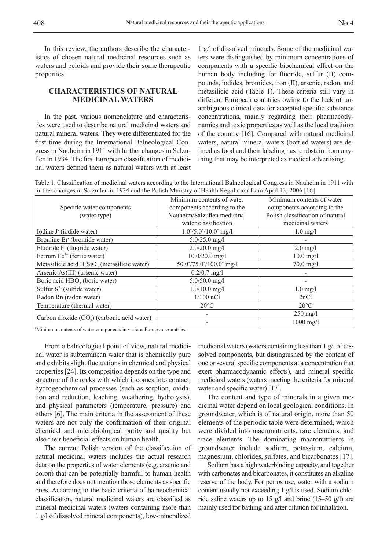In this review, the authors describe the characteristics of chosen natural medicinal resources such as waters and peloids and provide their some therapeutic properties.

## **CHARACTERISTICS OF NATURAL MEDICINAL WATERS**

In the past, various nomenclature and characteristics were used to describe natural medicinal waters and natural mineral waters. They were differentiated for the first time during the International Balneological Congress in Nauheim in 1911 with further changes in Salzuflen in 1934. The first European classification of medicinal waters defined them as natural waters with at least

1 g/l of dissolved minerals. Some of the medicinal waters were distinguished by minimum concentrations of components with a specific biochemical effect on the human body including for fluoride, sulfur (II) compounds, iodides, bromides, iron (II), arsenic, radon, and metasilicic acid (Table 1). These criteria still vary in different European countries owing to the lack of unambiguous clinical data for accepted specific substance concentrations, mainly regarding their pharmacodynamics and toxic properties as well as the local tradition of the country [16]. Compared with natural medicinal waters, natural mineral waters (bottled waters) are defined as food and their labeling has to abstain from anything that may be interpreted as medical advertising.

Table 1. Classification of medicinal waters according to the International Balneological Congress in Nauheim in 1911 with further changes in Salzuflen in 1934 and the Polish Ministry of Health Regulation from April 13, 2006 [16]

|                                                                      | Minimum contents of water                | Minimum contents of water        |
|----------------------------------------------------------------------|------------------------------------------|----------------------------------|
| Specific water components                                            | components according to the              | components according to the      |
| (water type)                                                         | Nauheim/Salzuflen medicinal              | Polish classification of natural |
|                                                                      | water classification                     | medicinal waters                 |
| Iodine J (iodide water)                                              | $1.0^{\ast}/5.0^{\ast}/10.0^{\ast}$ mg/l | $1.0$ mg/l                       |
| Bromine Br (bromide water)                                           | $5.0/25.0$ mg/l                          |                                  |
| Fluoride F (fluoride water)                                          | $2.0/20.0$ mg/l                          | $2.0$ mg/l                       |
| Ferrum $Fe2+$ (ferric water)                                         | $10.0/20.0$ mg/l                         | $10.0$ mg/l                      |
| Metasilicic acid H <sub>2</sub> SiO <sub>2</sub> (metasilicic water) | $50.0^*/75.0^*/100.0^*$ mg/l             | $70.0$ mg/l                      |
| Arsenic As(III) (arsenic water)                                      | $0.2/0.7$ mg/l                           |                                  |
| Boric acid HBO <sub>2</sub> (boric water)                            | $5.0/50.0$ mg/l                          |                                  |
| Sulfur $S^2$ (sulfide water)                                         | $1.0/10.0$ mg/l                          | $1.0$ mg/l                       |
| Radon Rn (radon water)                                               | $1/100$ nCi                              | 2nCi                             |
| Temperature (thermal water)                                          | $20^{\circ}$ C                           | $20^{\circ}$ C                   |
| Carbon dioxide $(CO2)$ (carbonic acid water)                         |                                          | $250$ mg/l                       |
|                                                                      |                                          | $1000$ mg/l                      |
| *Minimum contents of water components in various European countries. |                                          |                                  |

From a balneological point of view, natural medicinal water is subterranean water that is chemically pure and exhibits slight fluctuations in chemical and physical properties [24]. Its composition depends on the type and structure of the rocks with which it comes into contact, hydrogeochemical processes (such as sorption, oxidation and reduction, leaching, weathering, hydrolysis), and physical parameters (temperature, pressure) and others [6]. The main criteria in the assessment of these waters are not only the confirmation of their original chemical and microbiological purity and quality but also their beneficial effects on human health.

The current Polish version of the classification of natural medicinal waters includes the actual research data on the properties of water elements (e.g. arsenic and boron) that can be potentially harmful to human health and therefore does not mention those elements as specific ones. According to the basic criteria of balneochemical classification, natural medicinal waters are classified as mineral medicinal waters (waters containing more than 1 g/l of dissolved mineral components), low-mineralized

medicinal waters (waters containing less than 1 g/l of dissolved components, but distinguished by the content of one or several specific components at a concentration that exert pharmacodynamic effects), and mineral specific medicinal waters (waters meeting the criteria for mineral water and specific water) [17].

The content and type of minerals in a given medicinal water depend on local geological conditions. In groundwater, which is of natural origin, more than 50 elements of the periodic table were determined, which were divided into macronutrients, rare elements, and trace elements. The dominating macronutrients in groundwater include sodium, potassium, calcium, magnesium, chlorides, sulfates, and bicarbonates [17].

Sodium has a high waterbinding capacity, and together with carbonates and bicarbonates, it constitutes an alkaline reserve of the body. For per os use, water with a sodium content usually not exceeding 1 g/l is used. Sodium chloride saline waters up to 15 g/l and brine (15–50 g/l) are mainly used for bathing and after dilution for inhalation.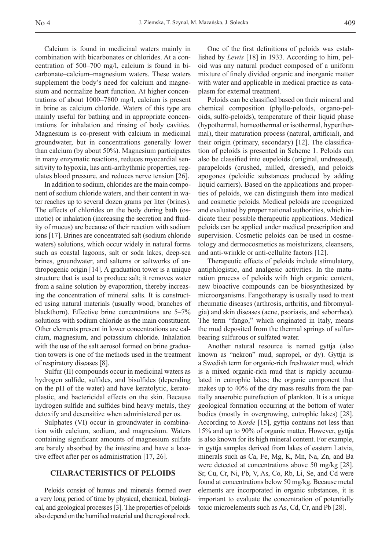Calcium is found in medicinal waters mainly in combination with bicarbonates or chlorides. At a concentration of 500–700 mg/l, calcium is found in bicarbonate–calcium–magnesium waters. These waters supplement the body's need for calcium and magnesium and normalize heart function. At higher concentrations of about 1000–7800 mg/l, calcium is present in brine as calcium chloride. Waters of this type are mainly useful for bathing and in appropriate concentrations for inhalation and rinsing of body cavities. Magnesium is co-present with calcium in medicinal groundwater, but in concentrations generally lower than calcium (by about 50%). Magnesium participates in many enzymatic reactions, reduces myocardial sensitivity to hypoxia, has anti-arrhythmic properties, regulates blood pressure, and reduces nerve tension [26].

In addition to sodium, chlorides are the main component of sodium chloride waters, and their content in water reaches up to several dozen grams per liter (brines). The effects of chlorides on the body during bath (osmotic) or inhalation (increasing the secretion and fluidity of mucus) are because of their reaction with sodium ions [17]. Brines are concentrated salt (sodium chloride waters) solutions, which occur widely in natural forms such as coastal lagoons, salt or soda lakes, deep-sea brines, groundwater, and salterns or saltworks of anthropogenic origin [14]. A graduation tower is a unique structure that is used to produce salt; it removes water from a saline solution by evaporation, thereby increasing the concentration of mineral salts. It is constructed using natural materials (usually wood, branches of blackthorn). Effective brine concentrations are 5–7% solutions with sodium chloride as the main constituent. Other elements present in lower concentrations are calcium, magnesium, and potassium chloride. Inhalation with the use of the salt aerosol formed on brine graduation towers is one of the methods used in the treatment of respiratory diseases [8].

Sulfur (II) compounds occur in medicinal waters as hydrogen sulfide, sulfides, and bisulfides (depending on the pH of the water) and have keratolytic, keratoplastic, and bactericidal effects on the skin. Because hydrogen sulfide and sulfides bind heavy metals, they detoxify and desensitize when administered per os.

Sulphates (VI) occur in groundwater in combination with calcium, sodium, and magnesium. Waters containing significant amounts of magnesium sulfate are barely absorbed by the intestine and have a laxative effect after per os administration [17, 26].

#### **CHARACTERISTICS OF PELOIDS**

Peloids consist of humus and minerals formed over a very long period of time by physical, chemical, biological, and geological processes [3]. The properties of peloids also depend on the humified material and the regional rock.

One of the first definitions of peloids was established by *Lewis* [18] in 1933. According to him, peloid was any natural product composed of a uniform mixture of finely divided organic and inorganic matter with water and applicable in medical practice as cataplasm for external treatment.

Peloids can be classified based on their mineral and chemical composition (phyllo-peloids, organo-peloids, sulfo-peloids), temperature of their liquid phase (hypothermal, homeothermal or isothermal, hyperthermal), their maturation process (natural, artificial), and their origin (primary, secondary) [12]. The classification of peloids is presented in Scheme 1. Peloids can also be classified into eupeloids (original, undressed), parapeloids (crushed, milled, dressed), and peloids apogones (peloidic substances produced by adding liquid carriers). Based on the applications and properties of peloids, we can distinguish them into medical and cosmetic peloids. Medical peloids are recognized and evaluated by proper national authorities, which indicate their possible therapeutic applications. Medical peloids can be applied under medical prescription and supervision. Cosmetic peloids can be used in cosmetology and dermocosmetics as moisturizers, cleansers, and anti-wrinkle or anti-cellulite factors [12].

Therapeutic effects of peloids include stimulatory, antiphlogistic, and analgesic activities. In the maturation process of peloids with high organic content, new bioactive compounds can be biosynthesized by microorganisms. Fangotherapy is usually used to treat rheumatic diseases (arthrosis, arthritis, and fibromyalgia) and skin diseases (acne, psoriasis, and seborrhea). The term "fango," which originated in Italy, means the mud deposited from the thermal springs of sulfurbearing sulfurous or sulfated water.

Another natural resource is named gyttja (also known as "nekron" mud, sapropel, or dy). Gyttja is a Swedish term for organic-rich freshwater mud, which is a mixed organic-rich mud that is rapidly accumulated in eutrophic lakes; the organic component that makes up to 40% of the dry mass results from the partially anaerobic putrefaction of plankton. It is a unique geological formation occurring at the bottom of water bodies (mostly in overgrowing, eutrophic lakes) [28]. According to *Korde* [15], gyttja contains not less than 15% and up to 90% of organic matter. However, gyttja is also known for its high mineral content. For example, in gyttja samples derived from lakes of eastern Latvia, minerals such as Ca, Fe, Mg, K, Mn, Na, Zn, and Ba were detected at concentrations above 50 mg/kg [28]. Sr, Cu, Cr, Ni, Pb, V, As, Co, Rb, Li, Se, and Cd were found at concentrations below 50 mg/kg. Because metal elements are incorporated in organic substances, it is important to evaluate the concentration of potentially toxic microelements such as As, Cd, Cr, and Pb [28].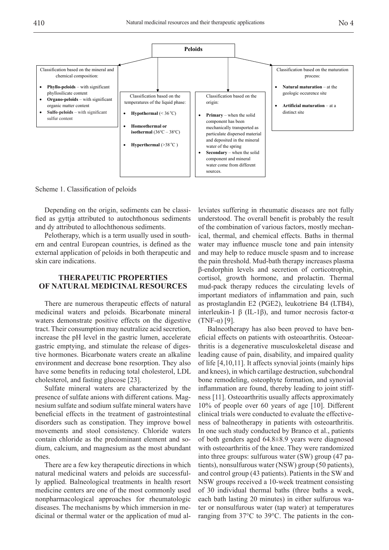

Scheme 1. Classification of peloids

Depending on the origin, sediments can be classified as gyttja attributed to autochthonous sediments and dy attributed to allochthonous sediments.

Pelotherapy, which is a term usually used in southern and central European countries, is defined as the external application of peloids in both therapeutic and skin care indications.

## **THERAPEUTIC PROPERTIES OF NATURAL MEDICINAL RESOURCES**

There are numerous therapeutic effects of natural medicinal waters and peloids. Bicarbonate mineral waters demonstrate positive effects on the digestive tract. Their consumption may neutralize acid secretion, increase the pH level in the gastric lumen, accelerate gastric emptying, and stimulate the release of digestive hormones. Bicarbonate waters create an alkaline environment and decrease bone resorption. They also have some benefits in reducing total cholesterol, LDL cholesterol, and fasting glucose [23].

Sulfate mineral waters are characterized by the presence of sulfate anions with different cations. Magnesium sulfate and sodium sulfate mineral waters have beneficial effects in the treatment of gastrointestinal disorders such as constipation. They improve bowel movements and stool consistency. Chloride waters contain chloride as the predominant element and sodium, calcium, and magnesium as the most abundant ones.

There are a few key therapeutic directions in which natural medicinal waters and peloids are successfully applied. Balneological treatments in health resort medicine centers are one of the most commonly used nonpharmacological approaches for rheumatologic diseases. The mechanisms by which immersion in medicinal or thermal water or the application of mud al-

leviates suffering in rheumatic diseases are not fully understood. The overall benefit is probably the result of the combination of various factors, mostly mechanical, thermal, and chemical effects. Baths in thermal water may influence muscle tone and pain intensity and may help to reduce muscle spasm and to increase the pain threshold. Mud-bath therapy increases plasma β-endorphin levels and secretion of corticotrophin, cortisol, growth hormone, and prolactin. Thermal mud-pack therapy reduces the circulating levels of important mediators of inflammation and pain, such as prostaglandin E2 (PGE2), leukotriene B4 (LTB4), interleukin-1 β (IL-1β), and tumor necrosis factor- $\alpha$ (TNF-α) [9].

Balneotherapy has also been proved to have beneficial effects on patients with osteoarthritis. Osteoarthritis is a degenerative musculoskeletal disease and leading cause of pain, disability, and impaired quality of life [4,10,11]. It affects synovial joints (mainly hips and knees), in which cartilage destruction, subchondral bone remodeling, osteophyte formation, and synovial inflammation are found, thereby leading to joint stiffness [11]. Osteoarthritis usually affects approximately 10% of people over 60 years of age [10]. Different clinical trials were conducted to evaluate the effectiveness of balneotherapy in patients with osteoarthritis. In one such study conducted by Branco et al., patients of both genders aged 64.8±8.9 years were diagnosed with osteoarthritis of the knee. They were randomized into three groups: sulfurous water (SW) group (47 patients), nonsulfurous water (NSW) group (50 patients), and control group (43 patients). Patients in the SW and NSW groups received a 10-week treatment consisting of 30 individual thermal baths (three baths a week, each bath lasting 20 minutes) in either sulfurous water or nonsulfurous water (tap water) at temperatures ranging from 37°C to 39°C. The patients in the con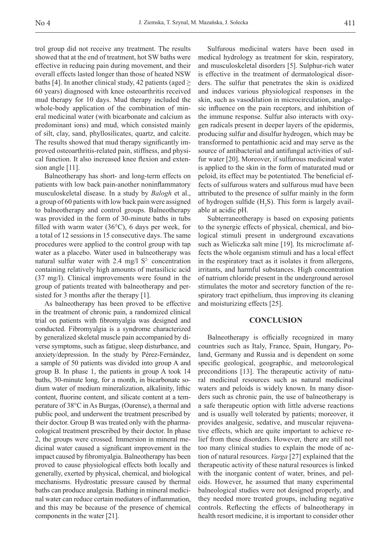trol group did not receive any treatment. The results showed that at the end of treatment, hot SW baths were effective in reducing pain during movement, and their overall effects lasted longer than those of heated NSW baths [4]. In another clinical study, 42 patients (aged  $\geq$ 60 years) diagnosed with knee osteoarthritis received mud therapy for 10 days. Mud therapy included the whole-body application of the combination of mineral medicinal water (with bicarbonate and calcium as predominant ions) and mud, which consisted mainly of silt, clay, sand, phyllosilicates, quartz, and calcite. The results showed that mud therapy significantly improved osteoarthritis-related pain, stiffness, and physical function. It also increased knee flexion and extension angle [11].

Balneotherapy has short- and long-term effects on patients with low back pain-another noninflammatory musculoskeletal disease. In a study by *Balogh* et al., a group of 60 patients with low back pain were assigned to balneotherapy and control groups. Balneotherapy was provided in the form of 30-minute baths in tubs filled with warm water (36°C), 6 days per week, for a total of 12 sessions in 15 consecutive days. The same procedures were applied to the control group with tap water as a placebo. Water used in balneotherapy was natural sulfur water with  $2.4 \text{ mg}/1 \text{ S}^2$  concentration containing relatively high amounts of metasilicic acid (37 mg/l). Clinical improvements were found in the group of patients treated with balneotherapy and persisted for 3 months after the therapy [1].

As balneotherapy has been proved to be effective in the treatment of chronic pain, a randomized clinical trial on patients with fibromyalgia was designed and conducted. Fibromyalgia is a syndrome characterized by generalized skeletal muscle pain accompanied by diverse symptoms, such as fatigue, sleep disturbance, and anxiety/depression. In the study by Pérez-Fernández, a sample of 50 patients was divided into group A and group B. In phase 1, the patients in group A took 14 baths, 30-minute long, for a month, in bicarbonate sodium water of medium mineralization, alkalinity, lithic content, fluorine content, and silicate content at a temperature of 38°C in As Burgas, (Ourense), a thermal and public pool, and underwent the treatment prescribed by their doctor. Group B was treated only with the pharmacological treatment prescribed by their doctor. In phase 2, the groups were crossed. Immersion in mineral medicinal water caused a significant improvement in the impact caused by fibromyalgia. Balneotherapy has been proved to cause physiological effects both locally and generally, exerted by physical, chemical, and biological mechanisms. Hydrostatic pressure caused by thermal baths can produce analgesia. Bathing in mineral medicinal water can reduce certain mediators of inflammation, and this may be because of the presence of chemical components in the water [21].

Sulfurous medicinal waters have been used in medical hydrology as treatment for skin, respiratory, and musculoskeletal disorders [5]. Sulphur-rich water is effective in the treatment of dermatological disorders. The sulfur that penetrates the skin is oxidized and induces various physiological responses in the skin, such as vasodilation in microcirculation, analgesic influence on the pain receptors, and inhibition of the immune response. Sulfur also interacts with oxygen radicals present in deeper layers of the epidermis, producing sulfur and disulfur hydrogen, which may be transformed to pentathionic acid and may serve as the source of antibacterial and antifungal activities of sulfur water [20]. Moreover, if sulfurous medicinal water is applied to the skin in the form of maturated mud or peloid, its effect may be potentiated. The beneficial effects of sulfurous waters and sulfurous mud have been attributed to the presence of sulfur mainly in the form of hydrogen sulfide  $(H_2S)$ . This form is largely available at acidic pH.

Subterraneotherapy is based on exposing patients to the synergic effects of physical, chemical, and biological stimuli present in underground excavations such as Wieliczka salt mine [19]. Its microclimate affects the whole organism stimuli and has a local effect in the respiratory tract as it isolates it from allergens, irritants, and harmful substances. High concentration of natrium chloride present in the underground aerosol stimulates the motor and secretory function of the respiratory tract epithelium, thus improving its cleaning and moisturizing effects [25].

#### **CONCLUSION**

Balneotherapy is officially recognized in many countries such as Italy, France, Spain, Hungary, Poland, Germany and Russia and is dependent on some specific geological, geographic, and meteorological preconditions [13]. The therapeutic activity of natural medicinal resources such as natural medicinal waters and peloids is widely known. In many disorders such as chronic pain, the use of balneotherapy is a safe therapeutic option with little adverse reactions and is usually well tolerated by patients; moreover, it provides analgesic, sedative, and muscular rejuvenative effects, which are quite important to achieve relief from these disorders. However, there are still not too many clinical studies to explain the mode of action of natural resources. *Varga* [27] explained that the therapeutic activity of these natural resources is linked with the inorganic content of water, brines, and peloids. However, he assumed that many experimental balneological studies were not designed properly, and they needed more treated groups, including negative controls. Reflecting the effects of balneotherapy in health resort medicine, it is important to consider other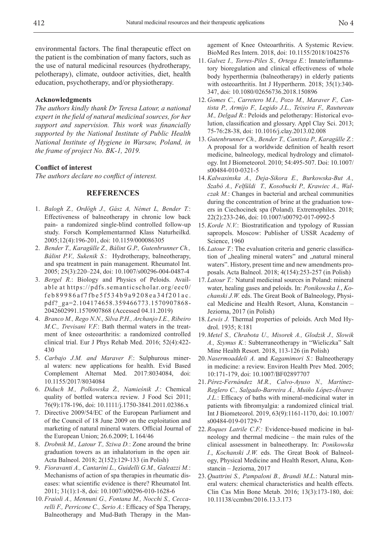environmental factors. The final therapeutic effect on the patient is the combination of many factors, such as the use of natural medicinal resources (hydrotherapy, pelotherapy), climate, outdoor activities, diet, health education, psychotherapy, and/or physiotherapy.

#### **Acknowledgments**

*The authors kindly thank Dr Teresa Latour, a national expert in the field of natural medicinal sources, for her support and supervision. This work was financially supported by the National Institute of Public Health National Institute of Hygiene in Warsaw, Poland, in the frame of project No. BK-1, 2019.*

## **Conflict of interest**

*The authors declare no conflict of interest.*

## **REFERENCES**

- 1. *Balogh Z., Ordögh J., Gász A, Német L, Bender T.*: Effectiveness of balneotherapy in chronic low back pain- a randomized single-blind controlled follow-up study. Forsch Komplementarmed Klass Naturheilkd. 2005;12(4):196-201, doi: 10.1159/000086305
- 2. *Bender T., Karagülle Z., Bálint G.P., Gutenbrunner Ch., Bálint P.V., Sukenik S.*: Hydrotherapy, balneotherapy, and spa treatment in pain management. Rheumatol Int. 2005; 25(3):220–224, doi: 10.1007/s00296-004-0487-4
- 3. *Bergel R.*: Biology and Physics of Peloids. Available at https://pdfs.semanticscholar.org/eec0/ feb89986af7fbe5f534b9a9208ea34f201ac. pdf?\_ga=2.104174658.359466773.1570907868- 2042602991.1570907868 (Accessed 04.11.2019)
- 4. *Branco M., Rego N.N., Silva P.H., Archanjo I.E., Ribeiro M.C., Trevisani V.F.*: Bath thermal waters in the treatment of knee osteoarthritis: a randomized controlled clinical trial. Eur J Phys Rehab Med. 2016; 52(4):422- 430
- 5. *Carbajo J.M. and Maraver F.*: Sulphurous mineral waters: new applications for health. Evid Based Complement Alternat Med. 2017:8034084, doi: 10.1155/2017/8034084
- 6. *Diduch M., Polkowska Ż., Namieśnik J.*: Chemical quality of bottled waters:a review. J Food Sci 2011; 76(9):178-196, doi: 10.1111/j.1750-3841.2011.02386.x
- 7. Directive 2009/54/EC of the European Parliament and of the Council of 18 June 2009 on the exploitation and marketing of natural mineral waters. Official Journal of the European Union; 26.6.2009; L 164/46
- 8. *Drobnik M., Latour T., Sziwa D.*: Zone around the brine graduation towers as an inhalatorium in the open air. Acta Balneol. 2018; 2(152):129-133 (in Polish)
- 9. *Fioravanti A., Cantarini L., Guidelli G.M., Galeazzi M.*: Mechanisms of action of spa therapies in rheumatic diseases: what scientific evidence is there? Rheumatol Int. 2011; 31(1):1-8, doi: 10.1007/s00296-010-1628-6
- 10. *Fraioli A., Mennuni G., Fontana M., Nocchi S., Ceccarelli F., Perricone C., Serio A.*: Efficacy of Spa Therapy, Balneotherapy and Mud-Bath Therapy in the Man-

agement of Knee Osteoarthritis. A Systemic Review. BioMed Res Intern. 2018, doi: 10.1155/2018/1042576

- 11. *Galvez I., Torres-Piles S., Ortega E.*: Innate/inflammatory bioregulation and clinical effectiveness of whole body hyperthermia (balneotherapy) in elderly patients with osteoarthritis. Int J Hypertherm. 2018; 35(1):340- 347, doi: 10.1080/02656736.2018.150896
- 12. *Gomes C., Carretero M.I., Pozo M., Maraver F., Cantista P., Armijo F., Legido J.L., Teixeira F., Rautureau M., Delgad R.*: Peloids and pelotherapy: Historical evolution, classification and glossary. Appl Clay Sci. 2013; 75-76:28-38, doi: 10.1016/j.clay.2013.02.008
- 13. *Gutenbrunner Ch., Bender T., Cantista P., Karagülle Z.*: A proposal for a worldwide definition of health resort medicine, balneology, medical hydrology and climatology. Int J Biometeorol. 2010; 54:495-507. Doi: 10.1007/ s00484-010-0321-5
- 14. *Kalwasinska A., Deja-Sikora E., Burkowska-But A., Szabó A., Felfüldi T., Kosobucki P., Krawiec A., Walczak M.*: Changes in bacterial and archeal communities during the concentration of brine at the graduation towers in Ciechocinek spa (Poland). Extremophiles. 2018; 22(2):233-246, doi: 10.1007/s00792-017-0992-5
- 15. *Korde N.V.*: Biostratification and typology of Russian sapropels. Moscow: Publisher of USSR Academy of Science, 1960
- 16. *Latour T.*: The evaluation criteria and generic classification of "healing mineral waters" and "natural mineral waters". History, present time and new amendments proposals. Acta Balneol. 2018; 4(154):253-257 (in Polish)
- 17. *Latour T.:* Natural medicinal sources in Poland: mineral water, healing gases and peloids. In: *Ponikowska I.*, *Kochanski J.W.* eds. The Great Book of Balneology, Physical Medicine and Health Resort, Aluna, Konstancin – Jeziorna, 2017 (in Polish)
- 18. *Lewis J.* Thermal properties of peloids. Arch Med Hydrol. 1935; 8:181
- 19. *Metel S., Chrabota U., Misorek A., Glodzik J., Slowik A., Szymus K.*: Subterraneotherapy in "Wieliczka" Salt Mine Health Resort. 2018, 113-126 (in Polish)
- 20. *Nasermoaddeli A.* and *Kagamimori S.*: Balneotherapy in medicine: a review. Environ Health Prev Med. 2005; 10:171-179, doi: 10.1007/BF02897707
- 21. *Pérez-Fernández M.R., Calvo-Ayuso N., Martínez-Reglero C., Salgado-Barreira Á., Muiño López-Álvarez J.L.*: Efficacy of baths with mineral-medicinal water in patients with fibromyalgia: a randomized clinical trial. Int J Biometeorol. 2019, 63(9):1161-1170, doi: 10.1007/ s00484-019-01729-7
- 22. *Roques Latrile C.F.:* Evidence-based medicine in balneology and thermal medicine – the main rules of the clinical assessment in balneotherapy. In: *Ponikowska I.*, *Kochanski J.W.* eds. The Great Book of Balneology, Physical Medicine and Health Resort, Aluna, Konstancin – Jeziorna, 2017
- 23. *Quattrini S., Pampaloni B., Brandi M.L.*: Natural mineral waters: chemical characteristics and health effects. Clin Cas Min Bone Metab. 2016; 13(3):173-180, doi: 10.11138/ccmbm/2016.13.3.173